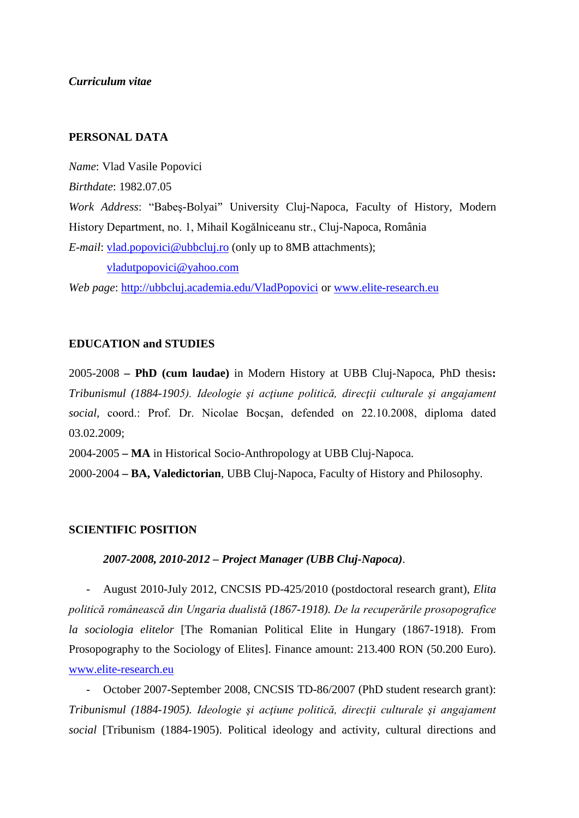*Curriculum vitae*

# **PERSONAL DATA**

*Name*: Vlad Vasile Popovici *Birthdate*: 1982.07.05 *Work Address*: "Babeş-Bolyai" University Cluj-Napoca, Faculty of History, Modern History Department, no. 1, Mihail Kogălniceanu str., Cluj-Napoca, România *E-mail*: [vlad.popovici@ubbcluj.ro](mailto:vlad.popovici@ubbcluj.ro) (only up to 8MB attachments); [vladutpopovici@yahoo.com](mailto:vladutpopovici@yahoo.com)

*Web page*:<http://ubbcluj.academia.edu/VladPopovici> or [www.elite-research.eu](http://www.elite-research.eu/)

### **EDUCATION and STUDIES**

2005-2008 **– PhD (cum laudae)** in Modern History at UBB Cluj-Napoca, PhD thesis**:**  *Tribunismul (1884-1905). Ideologie şi acţiune politică, direcţii culturale şi angajament social,* coord.: Prof. Dr. Nicolae Bocşan, defended on 22.10.2008, diploma dated 03.02.2009;

2004-2005 **– MA** in Historical Socio-Anthropology at UBB Cluj-Napoca.

2000-2004 **– BA, Valedictorian**, UBB Cluj-Napoca, Faculty of History and Philosophy.

## **SCIENTIFIC POSITION**

### *2007-2008, 2010-2012 – Project Manager (UBB Cluj-Napoca)*.

- August 2010-July 2012, CNCSIS PD-425/2010 (postdoctoral research grant), *Elita politică românească din Ungaria dualistă (1867-1918). De la recuperările prosopografice la sociologia elitelor* [The Romanian Political Elite in Hungary (1867-1918). From Prosopography to the Sociology of Elites]. Finance amount: 213.400 RON (50.200 Euro). [www.elite-research.eu](http://www.elite-research.eu/)

- October 2007-September 2008, CNCSIS TD-86/2007 (PhD student research grant): *Tribunismul (1884-1905). Ideologie şi acţiune politică, direcţii culturale şi angajament social* [Tribunism (1884-1905). Political ideology and activity, cultural directions and